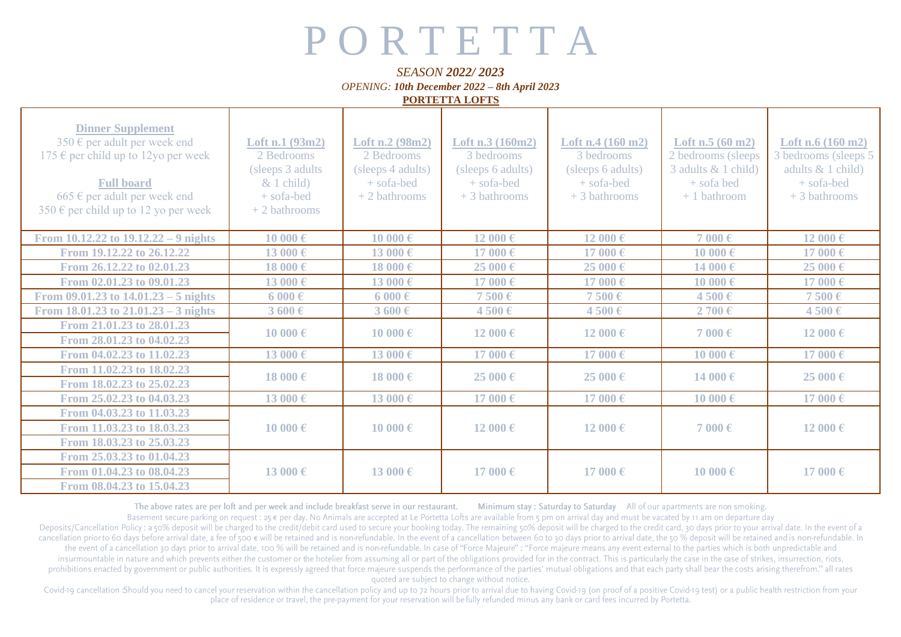## P O R T E T T A

## *SEASON 2022/ 2023*

*OPENING: 10th December 2022 – 8th April 2023*

**PORTETTA LOFTS**

| <b>Dinner Supplement</b><br>350 $\epsilon$ per adult per week end<br>175 € per child up to 12yo per week<br><b>Full board</b><br>665 € per adult per week end<br>350 € per child up to 12 yo per week | Loft n.1 (93m2)<br>2 Bedrooms<br>(sleeps 3 adults)<br>$& 1$ child)<br>+ sofa-bed<br>$+2$ bathrooms | Loft n.2 (98m2)<br>2 Bedrooms<br>(sleeps 4 adults)<br>+ sofa-bed<br>$+2$ bathrooms | Loft $n.3(160m2)$<br>3 bedrooms<br>(sleeps 6 adults)<br>$+$ sofa-bed<br>+ 3 bathrooms | Loft n.4 $(160 \text{ m2})$<br>3 bedrooms<br>(sleeps 6 adults)<br>+ sofa-bed<br>$+3$ bathrooms | Loft $n.5(60 \text{ m2})$<br>2 bedrooms (sleeps<br>3 adults & 1 child)<br>+ sofa bed<br>$+1$ bathroom | Loft n.6 $(160 \text{ m2})$<br>3 bedrooms (sleeps 5<br>adults & 1 child)<br>+ sofa-bed<br>$+3$ bathrooms |
|-------------------------------------------------------------------------------------------------------------------------------------------------------------------------------------------------------|----------------------------------------------------------------------------------------------------|------------------------------------------------------------------------------------|---------------------------------------------------------------------------------------|------------------------------------------------------------------------------------------------|-------------------------------------------------------------------------------------------------------|----------------------------------------------------------------------------------------------------------|
| From $10.12.22$ to $19.12.22 - 9$ nights                                                                                                                                                              | 10 000€                                                                                            | 10 000€                                                                            | 12 000€                                                                               | 12 000€                                                                                        | 7 000€                                                                                                | 12 000€                                                                                                  |
| From 19.12.22 to 26.12.22                                                                                                                                                                             | 13 000€                                                                                            | 13 000€                                                                            | 17 000€                                                                               | 17 000€                                                                                        | 10 000€                                                                                               | 17 000€                                                                                                  |
| From 26.12.22 to 02.01.23                                                                                                                                                                             | 18 000€                                                                                            | 18 000€                                                                            | 25 000€                                                                               | 25 000€                                                                                        | 14 000€                                                                                               | 25 000€                                                                                                  |
| From 02.01.23 to 09.01.23                                                                                                                                                                             | 13 000€                                                                                            | 13 000€                                                                            | 17 000€                                                                               | 17 000€                                                                                        | 10000€                                                                                                | 17 000€                                                                                                  |
| From $09.01.23$ to $14.01.23 - 5$ nights                                                                                                                                                              | $6000 \text{ } \in$                                                                                | $6000 \text{ } \in$                                                                | 7500€                                                                                 | 7500€                                                                                          | 4500€                                                                                                 | 7500€                                                                                                    |
| From $18.01.23$ to $21.01.23 - 3$ nights                                                                                                                                                              | $3600 \text{ } \in$                                                                                | $3600 \in$                                                                         | 4500€                                                                                 | 4500€                                                                                          | 2700€                                                                                                 | 4500€                                                                                                    |
| From 21.01.23 to 28.01.23<br>From 28.01.23 to 04.02.23                                                                                                                                                | 10 000€                                                                                            | 10 000€                                                                            | 12 000 €                                                                              | 12 000 €                                                                                       | 7 000 $\epsilon$                                                                                      | 12 000€                                                                                                  |
| From 04.02.23 to 11.02.23                                                                                                                                                                             | 13 000€                                                                                            | 13 000€                                                                            | 17 000€                                                                               | 17 000€                                                                                        | $10000 \text{ } \in$                                                                                  | 17 000€                                                                                                  |
| From 11.02.23 to 18.02.23<br>From 18.02.23 to 25.02.23                                                                                                                                                | 18 000€                                                                                            | 18 000€                                                                            | 25000€                                                                                | 25000€                                                                                         | 14 000€                                                                                               | 25000€                                                                                                   |
| From 25.02.23 to 04.03.23                                                                                                                                                                             | 13 000€                                                                                            | 13 000€                                                                            | 17 000€                                                                               | 17 000€                                                                                        | $10000 \text{ } \in$                                                                                  | 17 000€                                                                                                  |
| From 04.03.23 to 11.03.23<br>From 11.03.23 to 18.03.23<br>From 18.03.23 to 25.03.23                                                                                                                   | 10 000€                                                                                            | 10 000€                                                                            | 12 000 €                                                                              | 12 000 €                                                                                       | 7 000€                                                                                                | 12 000€                                                                                                  |
| From 25.03.23 to 01.04.23<br>From 01.04.23 to 08.04.23<br>From 08.04.23 to 15.04.23                                                                                                                   | 13 000€                                                                                            | 13 000€                                                                            | 17000€                                                                                | 17000€                                                                                         | 10 000€                                                                                               | 17 000€                                                                                                  |

The above rates are per loft and per week and include breakfast serve in our restaurant. Minimum stay: Saturday to Saturday All of our apartments are non smoking.

Basement secure parking on request : 25 € per day. No Animals are accepted at Le Portetta Lofts are available from 5 pm on arrival day and must be vacated by 11 am on departure day Deposits/Cancellation Policy: a 50% deposit will be charged to the credit/debit card used to secure your booking today. The remaining 50% deposit will be charged to the credit card, 30 days prior to your arrival date. In t cancellation prior to 60 days before arrival date, a fee of 500  $\epsilon$  will be retained and is non-refundable. In the event of a cancellation between 60 to 30 days prior to arrival date, the 50% deposit will be retained and the event of a cancellation 30 days prior to arrival date, 100 % will be retained and is non-refundable. In case of "Force Majeure": "Force majeure means any event external to the parties which is both unpredictable and insurmountable in nature and which prevents either the customer or the hotelier from assuming all or part of the obligations provided for in the contract. This is particularly the case in the case of strikes, insurrection, prohibitions enacted by government or public authorities. It is expressly agreed that force majeure suspends the performance of the parties' mutual obligations and that each party shall bear the costs arising therefrom." a quoted are subject to change without notice.

Covid-19 cancellation :Should you need to cancel your reservation within the cancellation policy and up to 72 hours prior to arrival due to having Covid-19 (on proof of a positive Covid-19 test) or a public health restrict place of residence or travel, the pre-payment for your reservation will be fully refunded minus any bank or card fees incurred by Portetta.